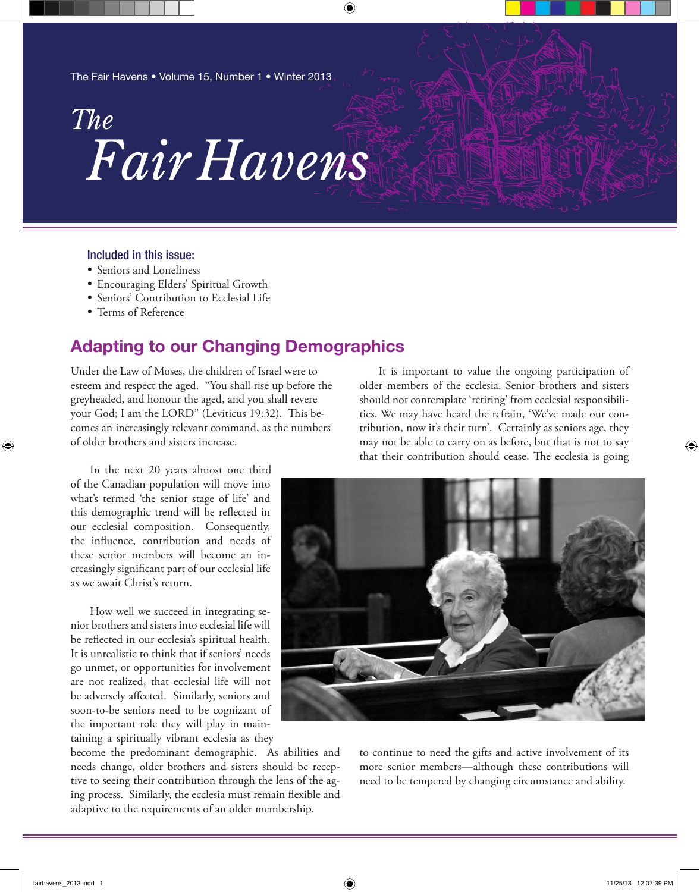The Fair Havens • Volume 15, Number 1 • Winter 2013

# *Fair Havens The*

⊕

### Included in this issue:

- Seniors and Loneliness
- Encouraging Elders' Spiritual Growth
- · Seniors' Contribution to Ecclesial Life
- Terms of Reference

# **Adapting to our Changing Demographics**

Under the Law of Moses, the children of Israel were to esteem and respect the aged. "You shall rise up before the greyheaded, and honour the aged, and you shall revere your God; I am the LORD" (Leviticus 19:32). This becomes an increasingly relevant command, as the numbers of older brothers and sisters increase.

In the next 20 years almost one third of the Canadian population will move into what's termed 'the senior stage of life' and this demographic trend will be reflected in our ecclesial composition. Consequently, the influence, contribution and needs of these senior members will become an increasingly significant part of our ecclesial life as we await Christ's return.

How well we succeed in integrating senior brothers and sisters into ecclesial life will be reflected in our ecclesia's spiritual health. It is unrealistic to think that if seniors' needs go unmet, or opportunities for involvement are not realized, that ecclesial life will not be adversely affected. Similarly, seniors and soon-to-be seniors need to be cognizant of the important role they will play in maintaining a spiritually vibrant ecclesia as they

become the predominant demographic. As abilities and needs change, older brothers and sisters should be receptive to seeing their contribution through the lens of the aging process. Similarly, the ecclesia must remain flexible and adaptive to the requirements of an older membership.

It is important to value the ongoing participation of older members of the ecclesia. Senior brothers and sisters should not contemplate 'retiring' from ecclesial responsibilities. We may have heard the refrain, 'We've made our contribution, now it's their turn'. Certainly as seniors age, they may not be able to carry on as before, but that is not to say that their contribution should cease. The ecclesia is going



to continue to need the gifts and active involvement of its more senior members—although these contributions will need to be tempered by changing circumstance and ability.

⊕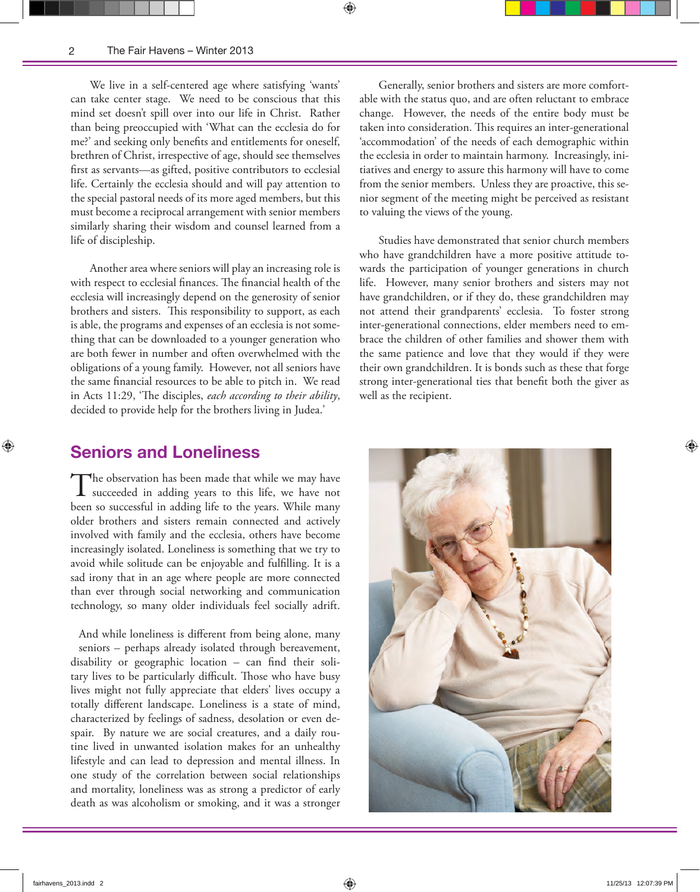⊕

We live in a self-centered age where satisfying 'wants' can take center stage. We need to be conscious that this mind set doesn't spill over into our life in Christ. Rather than being preoccupied with 'What can the ecclesia do for me?' and seeking only benefits and entitlements for oneself, brethren of Christ, irrespective of age, should see themselves first as servants—as gifted, positive contributors to ecclesial life. Certainly the ecclesia should and will pay attention to the special pastoral needs of its more aged members, but this must become a reciprocal arrangement with senior members similarly sharing their wisdom and counsel learned from a life of discipleship.

Another area where seniors will play an increasing role is with respect to ecclesial finances. The financial health of the ecclesia will increasingly depend on the generosity of senior brothers and sisters. This responsibility to support, as each is able, the programs and expenses of an ecclesia is not something that can be downloaded to a younger generation who are both fewer in number and often overwhelmed with the obligations of a young family. However, not all seniors have the same financial resources to be able to pitch in. We read in Acts 11:29, 'The disciples, *each according to their ability*, decided to provide help for the brothers living in Judea.'

Generally, senior brothers and sisters are more comfortable with the status quo, and are often reluctant to embrace change. However, the needs of the entire body must be taken into consideration. This requires an inter-generational 'accommodation' of the needs of each demographic within the ecclesia in order to maintain harmony. Increasingly, initiatives and energy to assure this harmony will have to come from the senior members. Unless they are proactive, this senior segment of the meeting might be perceived as resistant to valuing the views of the young.

⊕

Studies have demonstrated that senior church members who have grandchildren have a more positive attitude towards the participation of younger generations in church life. However, many senior brothers and sisters may not have grandchildren, or if they do, these grandchildren may not attend their grandparents' ecclesia. To foster strong inter-generational connections, elder members need to embrace the children of other families and shower them with the same patience and love that they would if they were their own grandchildren. It is bonds such as these that forge strong inter-generational ties that benefit both the giver as well as the recipient.

### **Seniors and Loneliness**

The observation has been made that while we may have succeeded in adding years to this life, we have not been so successful in adding life to the years. While many older brothers and sisters remain connected and actively involved with family and the ecclesia, others have become increasingly isolated. Loneliness is something that we try to avoid while solitude can be enjoyable and fulfilling. It is a sad irony that in an age where people are more connected than ever through social networking and communication technology, so many older individuals feel socially adrift.

And while loneliness is different from being alone, many seniors – perhaps already isolated through bereavement, disability or geographic location – can find their solitary lives to be particularly difficult. Those who have busy lives might not fully appreciate that elders' lives occupy a totally different landscape. Loneliness is a state of mind, characterized by feelings of sadness, desolation or even despair. By nature we are social creatures, and a daily routine lived in unwanted isolation makes for an unhealthy lifestyle and can lead to depression and mental illness. In one study of the correlation between social relationships and mortality, loneliness was as strong a predictor of early death as was alcoholism or smoking, and it was a stronger

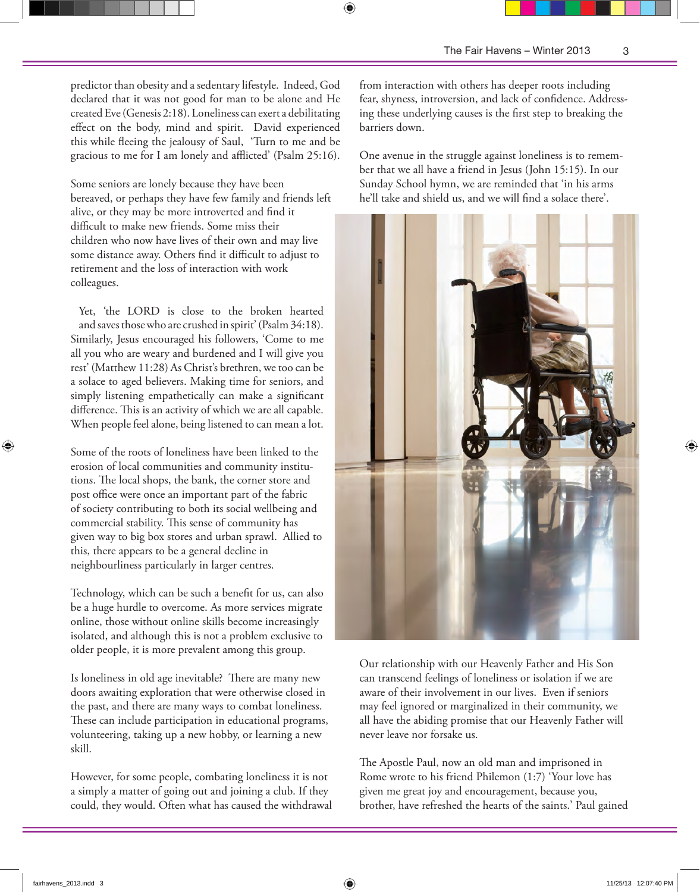predictor than obesity and a sedentary lifestyle. Indeed, God declared that it was not good for man to be alone and He created Eve (Genesis 2:18). Loneliness can exert a debilitating effect on the body, mind and spirit. David experienced this while fleeing the jealousy of Saul, 'Turn to me and be gracious to me for I am lonely and afflicted' (Psalm 25:16).

Some seniors are lonely because they have been bereaved, or perhaps they have few family and friends left alive, or they may be more introverted and find it difficult to make new friends. Some miss their children who now have lives of their own and may live some distance away. Others find it difficult to adjust to retirement and the loss of interaction with work colleagues.

Yet, 'the LORD is close to the broken hearted and saves those who are crushed in spirit' (Psalm 34:18). Similarly, Jesus encouraged his followers, 'Come to me all you who are weary and burdened and I will give you rest' (Matthew 11:28) As Christ's brethren, we too can be a solace to aged believers. Making time for seniors, and simply listening empathetically can make a significant difference. This is an activity of which we are all capable. When people feel alone, being listened to can mean a lot.

Some of the roots of loneliness have been linked to the erosion of local communities and community institutions. The local shops, the bank, the corner store and post office were once an important part of the fabric of society contributing to both its social wellbeing and commercial stability. This sense of community has given way to big box stores and urban sprawl. Allied to this, there appears to be a general decline in neighbourliness particularly in larger centres.

Technology, which can be such a benefit for us, can also be a huge hurdle to overcome. As more services migrate online, those without online skills become increasingly isolated, and although this is not a problem exclusive to older people, it is more prevalent among this group.

Is loneliness in old age inevitable? There are many new doors awaiting exploration that were otherwise closed in the past, and there are many ways to combat loneliness. These can include participation in educational programs, volunteering, taking up a new hobby, or learning a new skill.

However, for some people, combating loneliness it is not a simply a matter of going out and joining a club. If they could, they would. Often what has caused the withdrawal from interaction with others has deeper roots including fear, shyness, introversion, and lack of confidence. Addressing these underlying causes is the first step to breaking the barriers down.

One avenue in the struggle against loneliness is to remember that we all have a friend in Jesus (John 15:15). In our Sunday School hymn, we are reminded that 'in his arms he'll take and shield us, and we will find a solace there'.



Our relationship with our Heavenly Father and His Son can transcend feelings of loneliness or isolation if we are aware of their involvement in our lives. Even if seniors may feel ignored or marginalized in their community, we all have the abiding promise that our Heavenly Father will never leave nor forsake us.

The Apostle Paul, now an old man and imprisoned in Rome wrote to his friend Philemon (1:7) 'Your love has given me great joy and encouragement, because you, brother, have refreshed the hearts of the saints.' Paul gained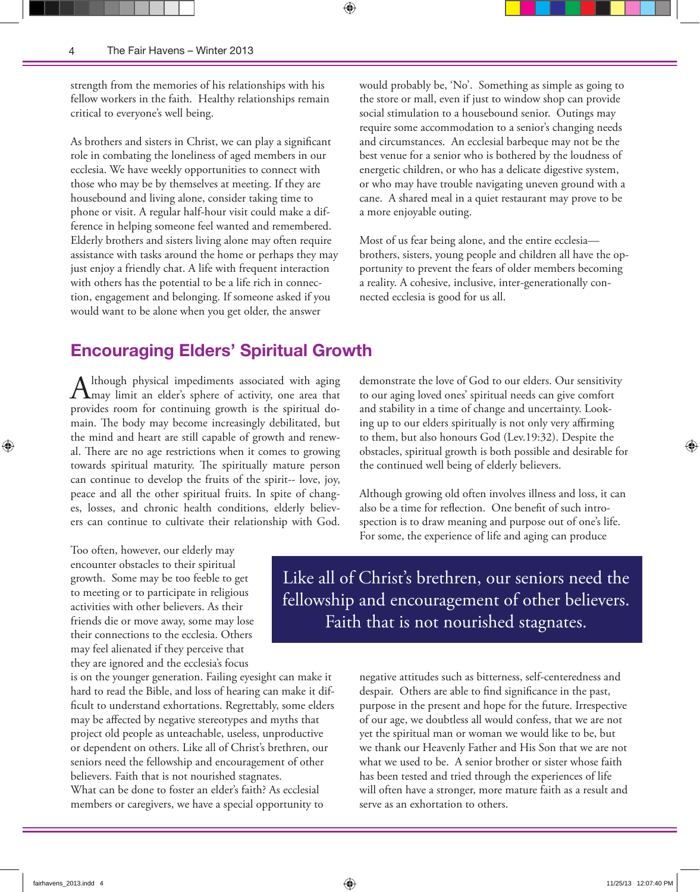strength from the memories of his relationships with his fellow workers in the faith. Healthy relationships remain critical to everyone's well being.

⊕

As brothers and sisters in Christ, we can play a significant role in combating the loneliness of aged members in our ecclesia. We have weekly opportunities to connect with those who may be by themselves at meeting. If they are housebound and living alone, consider taking time to phone or visit. A regular half-hour visit could make a difference in helping someone feel wanted and remembered. Elderly brothers and sisters living alone may often require assistance with tasks around the home or perhaps they may just enjoy a friendly chat. A life with frequent interaction with others has the potential to be a life rich in connection, engagement and belonging. If someone asked if you would want to be alone when you get older, the answer

would probably be, 'No'. Something as simple as going to the store or mall, even if just to window shop can provide social stimulation to a housebound senior. Outings may require some accommodation to a senior's changing needs and circumstances. An ecclesial barbeque may not be the best venue for a senior who is bothered by the loudness of energetic children, or who has a delicate digestive system, or who may have trouble navigating uneven ground with a cane. A shared meal in a quiet restaurant may prove to be a more enjoyable outing.

Most of us fear being alone, and the entire ecclesia brothers, sisters, young people and children all have the opportunity to prevent the fears of older members becoming a reality. A cohesive, inclusive, inter-generationally connected ecclesia is good for us all.

### **Encouraging Elders' Spiritual Growth**

Although physical impediments associated with aging<br>  $\sum_{i=1}^{\infty}$  may limit an elder's sphere of activity, one area that provides room for continuing growth is the spiritual domain. The body may become increasingly debilitated, but the mind and heart are still capable of growth and renewal. There are no age restrictions when it comes to growing towards spiritual maturity. The spiritually mature person can continue to develop the fruits of the spirit-- love, joy, peace and all the other spiritual fruits. In spite of changes, losses, and chronic health conditions, elderly believers can continue to cultivate their relationship with God.

Too often, however, our elderly may encounter obstacles to their spiritual growth. Some may be too feeble to get to meeting or to participate in religious activities with other believers. As their friends die or move away, some may lose their connections to the ecclesia. Others may feel alienated if they perceive that they are ignored and the ecclesia's focus

is on the younger generation. Failing eyesight can make it hard to read the Bible, and loss of hearing can make it difficult to understand exhortations. Regrettably, some elders may be affected by negative stereotypes and myths that project old people as unteachable, useless, unproductive or dependent on others. Like all of Christ's brethren, our seniors need the fellowship and encouragement of other believers. Faith that is not nourished stagnates. What can be done to foster an elder's faith? As ecclesial members or caregivers, we have a special opportunity to

demonstrate the love of God to our elders. Our sensitivity to our aging loved ones' spiritual needs can give comfort and stability in a time of change and uncertainty. Looking up to our elders spiritually is not only very affirming to them, but also honours God (Lev.19:32). Despite the obstacles, spiritual growth is both possible and desirable for the continued well being of elderly believers.

Although growing old often involves illness and loss, it can also be a time for reflection. One benefit of such introspection is to draw meaning and purpose out of one's life. For some, the experience of life and aging can produce

Like all of Christ's brethren, our seniors need the fellowship and encouragement of other believers. Faith that is not nourished stagnates.

> negative attitudes such as bitterness, self-centeredness and despair. Others are able to find significance in the past, purpose in the present and hope for the future. Irrespective of our age, we doubtless all would confess, that we are not yet the spiritual man or woman we would like to be, but we thank our Heavenly Father and His Son that we are not what we used to be. A senior brother or sister whose faith has been tested and tried through the experiences of life will often have a stronger, more mature faith as a result and serve as an exhortation to others.

⊕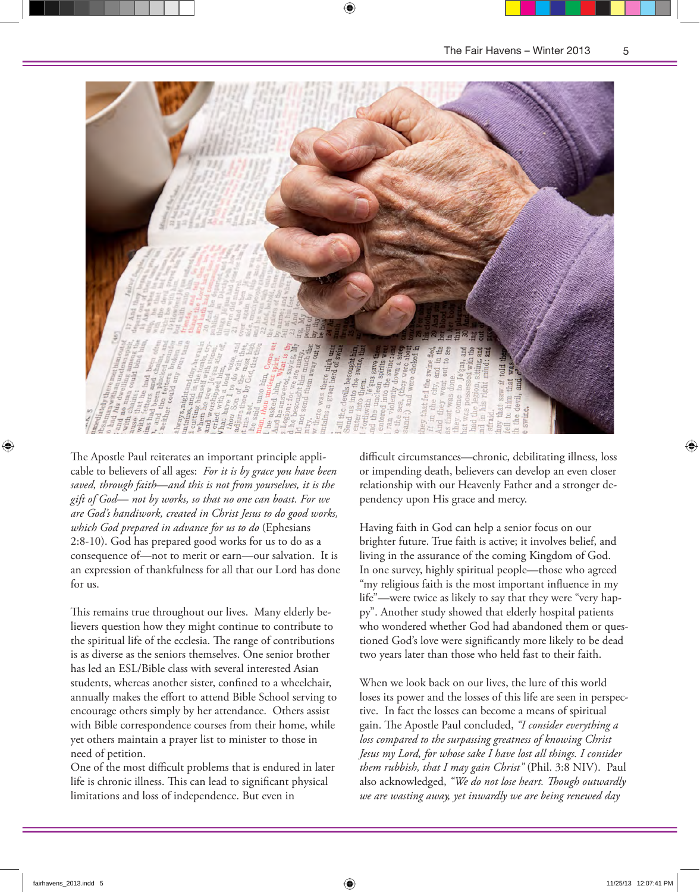

⊕

The Apostle Paul reiterates an important principle applicable to believers of all ages: *For it is by grace you have been saved, through faith*—*and this is not from yourselves, it is the gift of God*— *not by works, so that no one can boast. For we are God's handiwork, created in Christ Jesus to do good works, which God prepared in advance for us to do* (Ephesians 2:8-10). God has prepared good works for us to do as a consequence of—not to merit or earn—our salvation. It is an expression of thankfulness for all that our Lord has done for us.

This remains true throughout our lives. Many elderly believers question how they might continue to contribute to the spiritual life of the ecclesia. The range of contributions is as diverse as the seniors themselves. One senior brother has led an ESL/Bible class with several interested Asian students, whereas another sister, confined to a wheelchair, annually makes the effort to attend Bible School serving to encourage others simply by her attendance. Others assist with Bible correspondence courses from their home, while yet others maintain a prayer list to minister to those in need of petition.

One of the most difficult problems that is endured in later life is chronic illness. This can lead to significant physical limitations and loss of independence. But even in

difficult circumstances—chronic, debilitating illness, loss or impending death, believers can develop an even closer relationship with our Heavenly Father and a stronger dependency upon His grace and mercy.

Having faith in God can help a senior focus on our brighter future. True faith is active; it involves belief, and living in the assurance of the coming Kingdom of God. In one survey, highly spiritual people—those who agreed "my religious faith is the most important influence in my life"—were twice as likely to say that they were "very happy". Another study showed that elderly hospital patients who wondered whether God had abandoned them or questioned God's love were significantly more likely to be dead two years later than those who held fast to their faith.

When we look back on our lives, the lure of this world loses its power and the losses of this life are seen in perspective. In fact the losses can become a means of spiritual gain. The Apostle Paul concluded, "*I consider everything a loss compared to the surpassing greatness of knowing Christ Jesus my Lord, for whose sake I have lost all things. I consider them rubbish, that I may gain Christ"* (Phil. 3:8 NIV). Paul also acknowledged, *"We do not lose heart. !ough outwardly we are wasting away, yet inwardly we are being renewed day*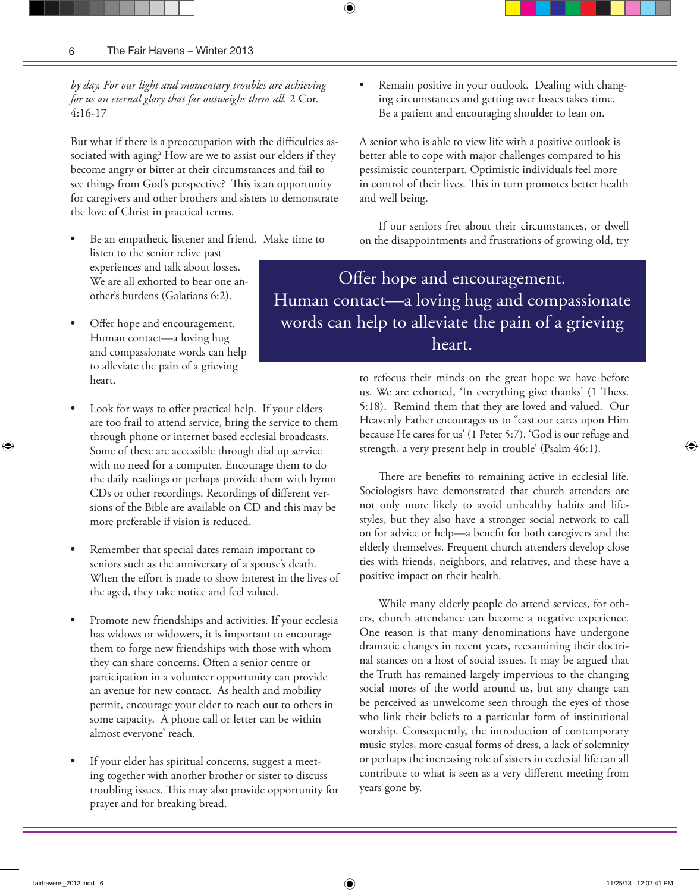*by day. For our light and momentary troubles are achieving for us an eternal glory that far outweighs them all.* 2 Cor. 4:16-17

But what if there is a preoccupation with the difficulties associated with aging? How are we to assist our elders if they become angry or bitter at their circumstances and fail to see things from God's perspective? This is an opportunity for caregivers and other brothers and sisters to demonstrate the love of Christ in practical terms.

- listen to the senior relive past experiences and talk about losses. We are all exhorted to bear one another's burdens (Galatians 6:2).
- Offer hope and encouragement. Human contact—a loving hug and compassionate words can help to alleviate the pain of a grieving heart.
- Look for ways to offer practical help. If your elders are too frail to attend service, bring the service to them through phone or internet based ecclesial broadcasts. Some of these are accessible through dial up service with no need for a computer. Encourage them to do the daily readings or perhaps provide them with hymn CDs or other recordings. Recordings of different versions of the Bible are available on CD and this may be more preferable if vision is reduced.
- Remember that special dates remain important to seniors such as the anniversary of a spouse's death. When the effort is made to show interest in the lives of the aged, they take notice and feel valued.
- Promote new friendships and activities. If your ecclesia has widows or widowers, it is important to encourage them to forge new friendships with those with whom they can share concerns. Often a senior centre or participation in a volunteer opportunity can provide an avenue for new contact. As health and mobility permit, encourage your elder to reach out to others in some capacity. A phone call or letter can be within almost everyone' reach.
- If your elder has spiritual concerns, suggest a meeting together with another brother or sister to discuss troubling issues. This may also provide opportunity for prayer and for breaking bread.

Remain positive in your outlook. Dealing with changing circumstances and getting over losses takes time. Be a patient and encouraging shoulder to lean on.

A senior who is able to view life with a positive outlook is better able to cope with major challenges compared to his pessimistic counterpart. Optimistic individuals feel more in control of their lives. This in turn promotes better health and well being.

If our seniors fret about their circumstances, or dwell • Be an empathetic listener and friend. Make time to on the disappointments and frustrations of growing old, try

> Offer hope and encouragement. Human contact—a loving hug and compassionate words can help to alleviate the pain of a grieving heart.

> > to refocus their minds on the great hope we have before us. We are exhorted, 'In everything give thanks' (1 Thess. 5:18). Remind them that they are loved and valued. Our Heavenly Father encourages us to "cast our cares upon Him because He cares for us' (1 Peter 5:7). 'God is our refuge and strength, a very present help in trouble' (Psalm 46:1).

> > There are benefits to remaining active in ecclesial life. Sociologists have demonstrated that church attenders are not only more likely to avoid unhealthy habits and lifestyles, but they also have a stronger social network to call on for advice or help—a benefit for both caregivers and the elderly themselves. Frequent church attenders develop close ties with friends, neighbors, and relatives, and these have a positive impact on their health.

> > While many elderly people do attend services, for others, church attendance can become a negative experience. One reason is that many denominations have undergone dramatic changes in recent years, reexamining their doctrinal stances on a host of social issues. It may be argued that the Truth has remained largely impervious to the changing social mores of the world around us, but any change can be perceived as unwelcome seen through the eyes of those who link their beliefs to a particular form of institutional worship. Consequently, the introduction of contemporary music styles, more casual forms of dress, a lack of solemnity or perhaps the increasing role of sisters in ecclesial life can all contribute to what is seen as a very different meeting from years gone by.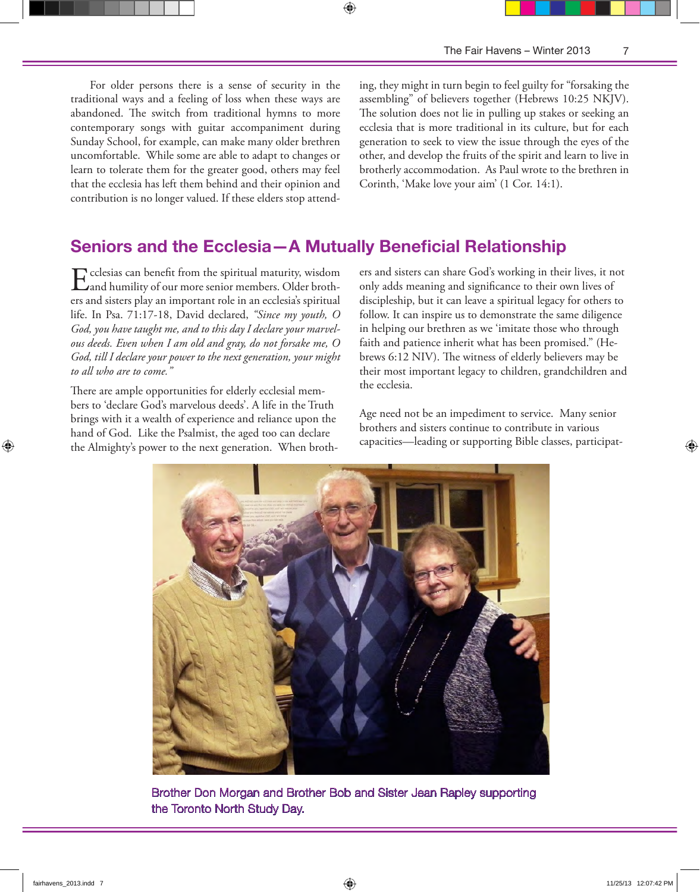For older persons there is a sense of security in the traditional ways and a feeling of loss when these ways are abandoned. The switch from traditional hymns to more contemporary songs with guitar accompaniment during Sunday School, for example, can make many older brethren uncomfortable. While some are able to adapt to changes or learn to tolerate them for the greater good, others may feel that the ecclesia has left them behind and their opinion and contribution is no longer valued. If these elders stop attending, they might in turn begin to feel guilty for "forsaking the assembling" of believers together (Hebrews 10:25 NKJV). The solution does not lie in pulling up stakes or seeking an ecclesia that is more traditional in its culture, but for each generation to seek to view the issue through the eyes of the other, and develop the fruits of the spirit and learn to live in brotherly accommodation. As Paul wrote to the brethren in Corinth, 'Make love your aim' (1 Cor. 14:1).

## **Seniors and the Ecclesia—A Mutually Beneficial Relationship**

⊕

Ecclesias can benefit from the spiritual maturity, wisdom<br>and humility of our more senior members. Older brothers and sisters play an important role in an ecclesia's spiritual life. In Psa. 71:17-18, David declared, *"Since my youth, O God, you have taught me, and to this day I declare your marvelous deeds. Even when I am old and gray, do not forsake me, O God, till I declare your power to the next generation, your might to all who are to come."* 

There are ample opportunities for elderly ecclesial members to 'declare God's marvelous deeds'. A life in the Truth brings with it a wealth of experience and reliance upon the hand of God. Like the Psalmist, the aged too can declare the Almighty's power to the next generation. When brothers and sisters can share God's working in their lives, it not only adds meaning and significance to their own lives of discipleship, but it can leave a spiritual legacy for others to follow. It can inspire us to demonstrate the same diligence in helping our brethren as we 'imitate those who through faith and patience inherit what has been promised." (Hebrews 6:12 NIV). The witness of elderly believers may be their most important legacy to children, grandchildren and the ecclesia.

Age need not be an impediment to service. Many senior brothers and sisters continue to contribute in various capacities—leading or supporting Bible classes, participat-



Brother Don Morgan and Brother Bob and Sister Jean Rapley supporting the Toronto North Study Day.

⊕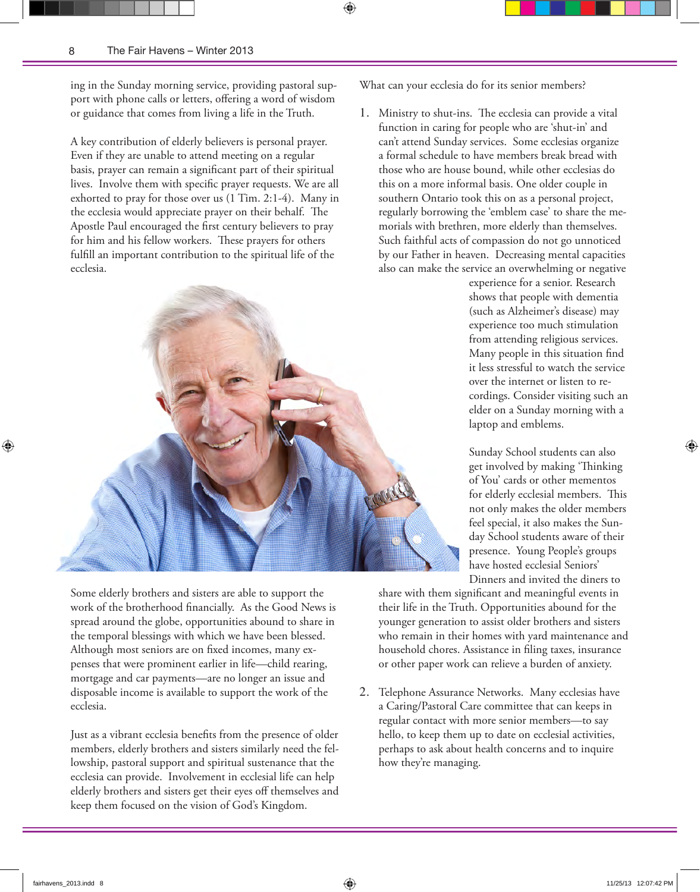ing in the Sunday morning service, providing pastoral support with phone calls or letters, offering a word of wisdom or guidance that comes from living a life in the Truth.

A key contribution of elderly believers is personal prayer. Even if they are unable to attend meeting on a regular basis, prayer can remain a significant part of their spiritual lives. Involve them with specific prayer requests. We are all exhorted to pray for those over us (1 Tim. 2:1-4). Many in the ecclesia would appreciate prayer on their behalf. The Apostle Paul encouraged the first century believers to pray for him and his fellow workers. These prayers for others fulfill an important contribution to the spiritual life of the ecclesia.



Some elderly brothers and sisters are able to support the work of the brotherhood financially. As the Good News is spread around the globe, opportunities abound to share in the temporal blessings with which we have been blessed. Although most seniors are on fixed incomes, many expenses that were prominent earlier in life—child rearing, mortgage and car payments—are no longer an issue and disposable income is available to support the work of the ecclesia.

Just as a vibrant ecclesia benefits from the presence of older members, elderly brothers and sisters similarly need the fellowship, pastoral support and spiritual sustenance that the ecclesia can provide. Involvement in ecclesial life can help elderly brothers and sisters get their eyes off themselves and keep them focused on the vision of God's Kingdom.

What can your ecclesia do for its senior members?

1. Ministry to shut-ins. The ecclesia can provide a vital function in caring for people who are 'shut-in' and can't attend Sunday services. Some ecclesias organize a formal schedule to have members break bread with those who are house bound, while other ecclesias do this on a more informal basis. One older couple in southern Ontario took this on as a personal project, regularly borrowing the 'emblem case' to share the memorials with brethren, more elderly than themselves. Such faithful acts of compassion do not go unnoticed by our Father in heaven. Decreasing mental capacities also can make the service an overwhelming or negative

> experience for a senior. Research shows that people with dementia (such as Alzheimer's disease) may experience too much stimulation from attending religious services. Many people in this situation find it less stressful to watch the service over the internet or listen to recordings. Consider visiting such an elder on a Sunday morning with a laptop and emblems.

> Sunday School students can also get involved by making 'Thinking of You' cards or other mementos for elderly ecclesial members. This not only makes the older members feel special, it also makes the Sunday School students aware of their presence. Young People's groups have hosted ecclesial Seniors' Dinners and invited the diners to

share with them significant and meaningful events in their life in the Truth. Opportunities abound for the younger generation to assist older brothers and sisters who remain in their homes with yard maintenance and household chores. Assistance in filing taxes, insurance or other paper work can relieve a burden of anxiety.

2. Telephone Assurance Networks. Many ecclesias have a Caring/Pastoral Care committee that can keeps in regular contact with more senior members—to say hello, to keep them up to date on ecclesial activities, perhaps to ask about health concerns and to inquire how they're managing.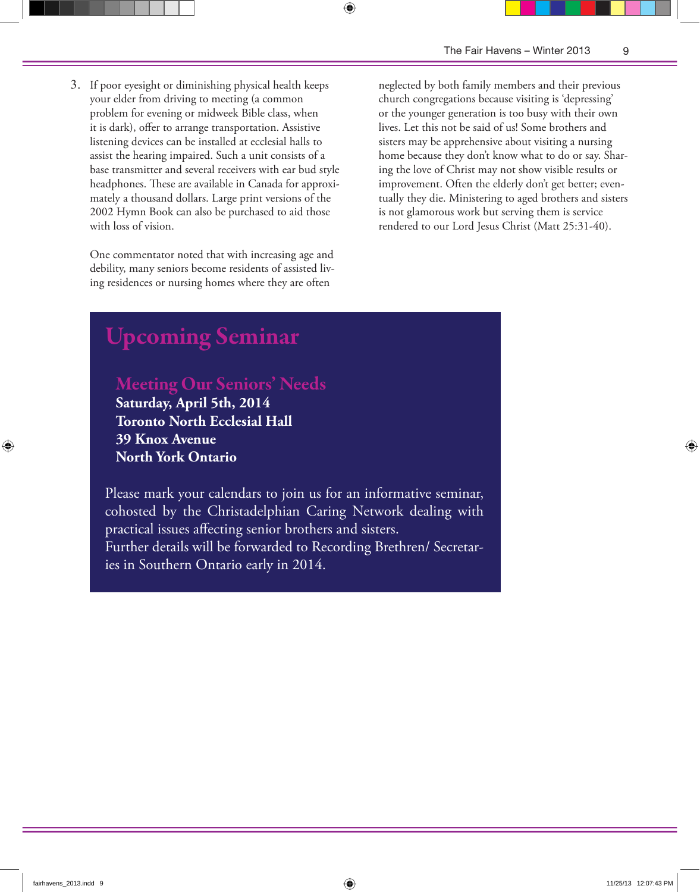3. If poor eyesight or diminishing physical health keeps your elder from driving to meeting (a common problem for evening or midweek Bible class, when it is dark), offer to arrange transportation. Assistive listening devices can be installed at ecclesial halls to assist the hearing impaired. Such a unit consists of a base transmitter and several receivers with ear bud style headphones. These are available in Canada for approximately a thousand dollars. Large print versions of the 2002 Hymn Book can also be purchased to aid those with loss of vision.

One commentator noted that with increasing age and debility, many seniors become residents of assisted living residences or nursing homes where they are often

neglected by both family members and their previous church congregations because visiting is 'depressing' or the younger generation is too busy with their own lives. Let this not be said of us! Some brothers and sisters may be apprehensive about visiting a nursing home because they don't know what to do or say. Sharing the love of Christ may not show visible results or improvement. Often the elderly don't get better; eventually they die. Ministering to aged brothers and sisters is not glamorous work but serving them is service rendered to our Lord Jesus Christ (Matt 25:31-40).

# Upcoming Seminar

Meeting Our Seniors' Needs

**Saturday, April 5th, 2014 Toronto North Ecclesial Hall 39 Knox Avenue North York Ontario**

Please mark your calendars to join us for an informative seminar, cohosted by the Christadelphian Caring Network dealing with practical issues affecting senior brothers and sisters. Further details will be forwarded to Recording Brethren/ Secretaries in Southern Ontario early in 2014.

⊕

⊕